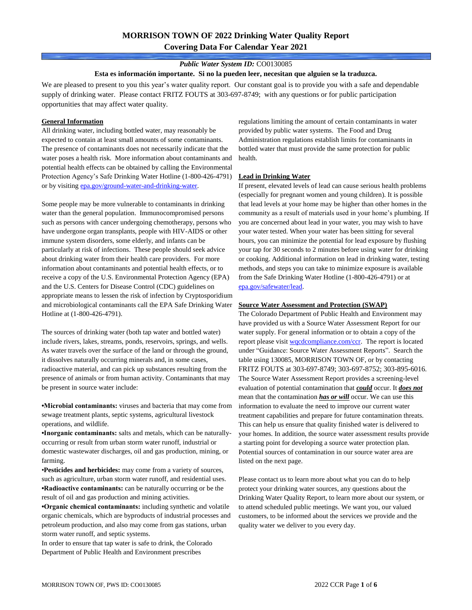# **MORRISON TOWN OF 2022 Drinking Water Quality Report Covering Data For Calendar Year 2021**

### *Public Water System ID:* CO0130085

#### **Esta es información importante. Si no la pueden leer, necesitan que alguien se la traduzca.**

We are pleased to present to you this year's water quality report. Our constant goal is to provide you with a safe and dependable supply of drinking water. Please contact FRITZ FOUTS at 303-697-8749; with any questions or for public participation opportunities that may affect water quality.

### **General Information**

All drinking water, including bottled water, may reasonably be expected to contain at least small amounts of some contaminants. The presence of contaminants does not necessarily indicate that the water poses a health risk. More information about contaminants and potential health effects can be obtained by calling the Environmental Protection Agency's Safe Drinking Water Hotline (1-800-426-4791) or by visiting [epa.gov/ground-water-and-drinking-water.](https://www.epa.gov/ground-water-and-drinking-water)

Some people may be more vulnerable to contaminants in drinking water than the general population. Immunocompromised persons such as persons with cancer undergoing chemotherapy, persons who have undergone organ transplants, people with HIV-AIDS or other immune system disorders, some elderly, and infants can be particularly at risk of infections. These people should seek advice about drinking water from their health care providers. For more information about contaminants and potential health effects, or to receive a copy of the U.S. Environmental Protection Agency (EPA) and the U.S. Centers for Disease Control (CDC) guidelines on appropriate means to lessen the risk of infection by Cryptosporidium and microbiological contaminants call the EPA Safe Drinking Water Hotline at (1-800-426-4791).

The sources of drinking water (both tap water and bottled water) include rivers, lakes, streams, ponds, reservoirs, springs, and wells. As water travels over the surface of the land or through the ground, it dissolves naturally occurring minerals and, in some cases, radioactive material, and can pick up substances resulting from the presence of animals or from human activity. Contaminants that may be present in source water include:

**•Microbial contaminants:** viruses and bacteria that may come from sewage treatment plants, septic systems, agricultural livestock operations, and wildlife.

**•Inorganic contaminants:** salts and metals, which can be naturallyoccurring or result from urban storm water runoff, industrial or domestic wastewater discharges, oil and gas production, mining, or farming.

•**Pesticides and herbicides:** may come from a variety of sources, such as agriculture, urban storm water runoff, and residential uses. **•Radioactive contaminants:** can be naturally occurring or be the result of oil and gas production and mining activities.

**•Organic chemical contaminants:** including synthetic and volatile organic chemicals, which are byproducts of industrial processes and petroleum production, and also may come from gas stations, urban storm water runoff, and septic systems.

In order to ensure that tap water is safe to drink, the Colorado Department of Public Health and Environment prescribes

regulations limiting the amount of certain contaminants in water provided by public water systems. The Food and Drug Administration regulations establish limits for contaminants in bottled water that must provide the same protection for public health.

#### **Lead in Drinking Water**

If present, elevated levels of lead can cause serious health problems (especially for pregnant women and young children). It is possible that lead levels at your home may be higher than other homes in the community as a result of materials used in your home's plumbing. If you are concerned about lead in your water, you may wish to have your water tested. When your water has been sitting for several hours, you can minimize the potential for lead exposure by flushing your tap for 30 seconds to 2 minutes before using water for drinking or cooking. Additional information on lead in drinking water, testing methods, and steps you can take to minimize exposure is available from the Safe Drinking Water Hotline (1-800-426-4791) or at [epa.gov/safewater/lead.](http://www.epa.gov/safewater/lead) 

#### **Source Water Assessment and Protection (SWAP)**

The Colorado Department of Public Health and Environment may have provided us with a Source Water Assessment Report for our water supply. For general information or to obtain a copy of the report please visit [wqcdcompliance.com/ccr.](https://wqcdcompliance.com/ccr) The report is located under "Guidance: Source Water Assessment Reports". Search the table using 130085, MORRISON TOWN OF, or by contacting FRITZ FOUTS at 303-697-8749; 303-697-8752; 303-895-6016. The Source Water Assessment Report provides a screening-level evaluation of potential contamination that *could* occur. It *does not* mean that the contamination *has or will* occur. We can use this information to evaluate the need to improve our current water treatment capabilities and prepare for future contamination threats. This can help us ensure that quality finished water is delivered to your homes. In addition, the source water assessment results provide a starting point for developing a source water protection plan. Potential sources of contamination in our source water area are listed on the next page.

Please contact us to learn more about what you can do to help protect your drinking water sources, any questions about the Drinking Water Quality Report, to learn more about our system, or to attend scheduled public meetings. We want you, our valued customers, to be informed about the services we provide and the quality water we deliver to you every day.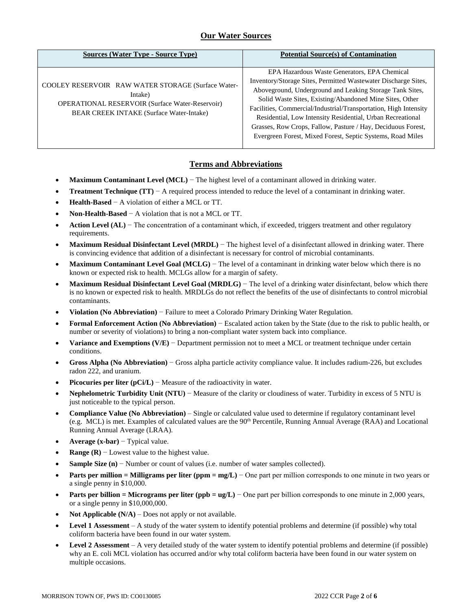## **Our Water Sources**

| <b>Sources (Water Type - Source Type)</b>                                                                                                                           | <b>Potential Source(s) of Contamination</b>                                                                                                                                                                                                                                                                                                                                                                                                                                                           |
|---------------------------------------------------------------------------------------------------------------------------------------------------------------------|-------------------------------------------------------------------------------------------------------------------------------------------------------------------------------------------------------------------------------------------------------------------------------------------------------------------------------------------------------------------------------------------------------------------------------------------------------------------------------------------------------|
| COOLEY RESERVOIR RAW WATER STORAGE (Surface Water-<br>Intake)<br><b>OPERATIONAL RESERVOIR (Surface Water-Reservoir)</b><br>BEAR CREEK INTAKE (Surface Water-Intake) | EPA Hazardous Waste Generators, EPA Chemical<br>Inventory/Storage Sites, Permitted Wastewater Discharge Sites,<br>Aboveground, Underground and Leaking Storage Tank Sites,<br>Solid Waste Sites, Existing/Abandoned Mine Sites, Other<br>Facilities, Commercial/Industrial/Transportation, High Intensity<br>Residential, Low Intensity Residential, Urban Recreational<br>Grasses, Row Crops, Fallow, Pasture / Hay, Deciduous Forest,<br>Evergreen Forest, Mixed Forest, Septic Systems, Road Miles |

### **Terms and Abbreviations**

- **Maximum Contaminant Level (MCL)** − The highest level of a contaminant allowed in drinking water.
- **Treatment Technique (TT)**  $A$  required process intended to reduce the level of a contaminant in drinking water.
- **Health-Based** − A violation of either a MCL or TT.
- **Non-Health-Based** − A violation that is not a MCL or TT.
- **Action Level (AL)** − The concentration of a contaminant which, if exceeded, triggers treatment and other regulatory requirements.
- **Maximum Residual Disinfectant Level (MRDL)** − The highest level of a disinfectant allowed in drinking water. There is convincing evidence that addition of a disinfectant is necessary for control of microbial contaminants.
- **Maximum Contaminant Level Goal (MCLG)** − The level of a contaminant in drinking water below which there is no known or expected risk to health. MCLGs allow for a margin of safety.
- **Maximum Residual Disinfectant Level Goal (MRDLG)** − The level of a drinking water disinfectant, below which there is no known or expected risk to health. MRDLGs do not reflect the benefits of the use of disinfectants to control microbial contaminants.
- **Violation (No Abbreviation)** − Failure to meet a Colorado Primary Drinking Water Regulation.
- **Formal Enforcement Action (No Abbreviation)** − Escalated action taken by the State (due to the risk to public health, or number or severity of violations) to bring a non-compliant water system back into compliance.
- **Variance and Exemptions (V/E)** − Department permission not to meet a MCL or treatment technique under certain conditions.
- **Gross Alpha (No Abbreviation)** − Gross alpha particle activity compliance value. It includes radium-226, but excludes radon 222, and uranium.
- **Picocuries per liter (pCi/L)** − Measure of the radioactivity in water.
- **Nephelometric Turbidity Unit (NTU)** − Measure of the clarity or cloudiness of water. Turbidity in excess of 5 NTU is just noticeable to the typical person.
- **Compliance Value (No Abbreviation)** Single or calculated value used to determine if regulatory contaminant level (e.g. MCL) is met. Examples of calculated values are the 90<sup>th</sup> Percentile, Running Annual Average (RAA) and Locational Running Annual Average (LRAA).
- **Average (x-bar)** − Typical value.
- **Range (R)**  $-$  Lowest value to the highest value.
- **Sample Size (n)** − Number or count of values (i.e. number of water samples collected).
- **Parts per million = Milligrams per liter (ppm = mg/L)** − One part per million corresponds to one minute in two years or a single penny in \$10,000.
- **Parts per billion = Micrograms per liter (ppb = ug/L)** − One part per billion corresponds to one minute in 2,000 years, or a single penny in \$10,000,000.
- **Not Applicable**  $(N/A)$  Does not apply or not available.
- **Level 1 Assessment** A study of the water system to identify potential problems and determine (if possible) why total coliform bacteria have been found in our water system.
- **Level 2 Assessment** A very detailed study of the water system to identify potential problems and determine (if possible) why an E. coli MCL violation has occurred and/or why total coliform bacteria have been found in our water system on multiple occasions.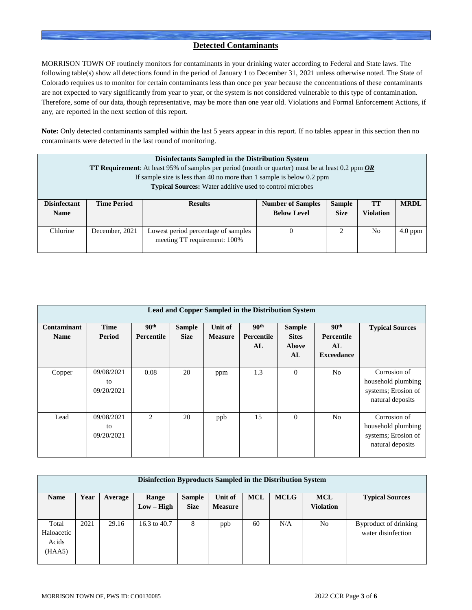### **Detected Contaminants**

MORRISON TOWN OF routinely monitors for contaminants in your drinking water according to Federal and State laws. The following table(s) show all detections found in the period of January 1 to December 31, 2021 unless otherwise noted. The State of Colorado requires us to monitor for certain contaminants less than once per year because the concentrations of these contaminants are not expected to vary significantly from year to year, or the system is not considered vulnerable to this type of contamination. Therefore, some of our data, though representative, may be more than one year old. Violations and Formal Enforcement Actions, if any, are reported in the next section of this report.

**Note:** Only detected contaminants sampled within the last 5 years appear in this report. If no tables appear in this section then no contaminants were detected in the last round of monitoring.

|                                    | Disinfectants Sampled in the Distribution System<br><b>TT Requirement:</b> At least 95% of samples per period (month or quarter) must be at least 0.2 ppm $OR$<br>If sample size is less than 40 no more than 1 sample is below 0.2 ppm<br><b>Typical Sources:</b> Water additive used to control microbes |                                                                     |                                                |                              |                               |             |  |  |  |  |
|------------------------------------|------------------------------------------------------------------------------------------------------------------------------------------------------------------------------------------------------------------------------------------------------------------------------------------------------------|---------------------------------------------------------------------|------------------------------------------------|------------------------------|-------------------------------|-------------|--|--|--|--|
| <b>Disinfectant</b><br><b>Name</b> | <b>Time Period</b>                                                                                                                                                                                                                                                                                         | <b>Results</b>                                                      | <b>Number of Samples</b><br><b>Below Level</b> | <b>Sample</b><br><b>Size</b> | <b>TT</b><br><b>Violation</b> | <b>MRDL</b> |  |  |  |  |
| Chlorine                           | December, 2021                                                                                                                                                                                                                                                                                             | Lowest period percentage of samples<br>meeting TT requirement: 100% | $\Omega$                                       | 2                            | N <sub>0</sub>                | $4.0$ ppm   |  |  |  |  |

| Lead and Copper Sampled in the Distribution System |                                |                                       |                              |                           |                                      |                                              |                                                           |                                                                               |  |  |  |
|----------------------------------------------------|--------------------------------|---------------------------------------|------------------------------|---------------------------|--------------------------------------|----------------------------------------------|-----------------------------------------------------------|-------------------------------------------------------------------------------|--|--|--|
| <b>Contaminant</b><br><b>Name</b>                  | <b>Time</b><br>Period          | 90 <sup>th</sup><br><b>Percentile</b> | <b>Sample</b><br><b>Size</b> | Unit of<br><b>Measure</b> | 90 <sup>th</sup><br>Percentile<br>AL | <b>Sample</b><br><b>Sites</b><br>Above<br>AL | 90 <sup>th</sup><br>Percentile<br>AL<br><b>Exceedance</b> | <b>Typical Sources</b>                                                        |  |  |  |
| Copper                                             | 09/08/2021<br>to<br>09/20/2021 | 0.08                                  | 20                           | ppm                       | 1.3                                  | $\theta$                                     | N <sub>0</sub>                                            | Corrosion of<br>household plumbing<br>systems; Erosion of<br>natural deposits |  |  |  |
| Lead                                               | 09/08/2021<br>to<br>09/20/2021 | $\mathfrak{D}$                        | 20                           | ppb                       | 15                                   | $\mathbf{0}$                                 | N <sub>0</sub>                                            | Corrosion of<br>household plumbing<br>systems; Erosion of<br>natural deposits |  |  |  |

| Disinfection Byproducts Sampled in the Distribution System |      |         |              |               |                |            |             |                  |                        |  |
|------------------------------------------------------------|------|---------|--------------|---------------|----------------|------------|-------------|------------------|------------------------|--|
| <b>Name</b>                                                | Year | Average | Range        | <b>Sample</b> | Unit of        | <b>MCL</b> | <b>MCLG</b> | <b>MCL</b>       | <b>Typical Sources</b> |  |
|                                                            |      |         | $Low - High$ | <b>Size</b>   | <b>Measure</b> |            |             | <b>Violation</b> |                        |  |
|                                                            |      |         |              |               |                |            |             |                  |                        |  |
| Total                                                      | 2021 | 29.16   | 16.3 to 40.7 | 8             | ppb            | 60         | N/A         | N <sub>o</sub>   | Byproduct of drinking  |  |
| Haloacetic                                                 |      |         |              |               |                |            |             |                  | water disinfection     |  |
| Acids                                                      |      |         |              |               |                |            |             |                  |                        |  |
| (HAA5)                                                     |      |         |              |               |                |            |             |                  |                        |  |
|                                                            |      |         |              |               |                |            |             |                  |                        |  |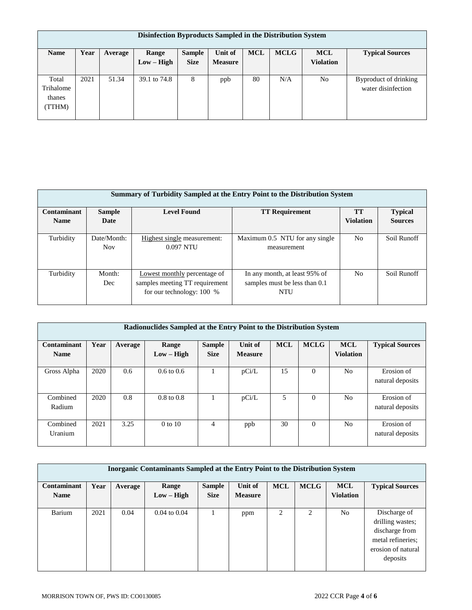| Disinfection Byproducts Sampled in the Distribution System |      |         |              |               |                |            |             |                  |                        |  |
|------------------------------------------------------------|------|---------|--------------|---------------|----------------|------------|-------------|------------------|------------------------|--|
| <b>Name</b>                                                | Year | Average | Range        | <b>Sample</b> | Unit of        | <b>MCL</b> | <b>MCLG</b> | <b>MCL</b>       | <b>Typical Sources</b> |  |
|                                                            |      |         | $Low - High$ | <b>Size</b>   | <b>Measure</b> |            |             | <b>Violation</b> |                        |  |
|                                                            |      |         |              |               |                |            |             |                  |                        |  |
| Total                                                      | 2021 | 51.34   | 39.1 to 74.8 | 8             | ppb            | 80         | N/A         | No               | Byproduct of drinking  |  |
| Trihalome                                                  |      |         |              |               |                |            |             |                  | water disinfection     |  |
| thanes                                                     |      |         |              |               |                |            |             |                  |                        |  |
| (TTHM)                                                     |      |         |              |               |                |            |             |                  |                        |  |
|                                                            |      |         |              |               |                |            |             |                  |                        |  |

|             | <b>Summary of Turbidity Sampled at the Entry Point to the Distribution System</b> |                                                                                               |                                                                              |                  |                |  |  |  |  |  |  |
|-------------|-----------------------------------------------------------------------------------|-----------------------------------------------------------------------------------------------|------------------------------------------------------------------------------|------------------|----------------|--|--|--|--|--|--|
| Contaminant | <b>Sample</b>                                                                     | <b>Level Found</b>                                                                            | <b>TT Requirement</b>                                                        | <b>TT</b>        | <b>Typical</b> |  |  |  |  |  |  |
| <b>Name</b> | Date                                                                              |                                                                                               |                                                                              | <b>Violation</b> | <b>Sources</b> |  |  |  |  |  |  |
| Turbidity   | Date/Month:<br><b>Nov</b>                                                         | Highest single measurement:<br>0.097 NTU                                                      | Maximum 0.5 NTU for any single<br>measurement                                | N <sub>o</sub>   | Soil Runoff    |  |  |  |  |  |  |
| Turbidity   | Month:<br>Dec                                                                     | Lowest monthly percentage of<br>samples meeting TT requirement<br>for our technology: $100\%$ | In any month, at least 95% of<br>samples must be less than 0.1<br><b>NTU</b> | N <sub>o</sub>   | Soil Runoff    |  |  |  |  |  |  |

| Radionuclides Sampled at the Entry Point to the Distribution System |      |         |                       |                              |                           |            |             |                                |                                |  |
|---------------------------------------------------------------------|------|---------|-----------------------|------------------------------|---------------------------|------------|-------------|--------------------------------|--------------------------------|--|
| Contaminant<br><b>Name</b>                                          | Year | Average | Range<br>$Low - High$ | <b>Sample</b><br><b>Size</b> | Unit of<br><b>Measure</b> | <b>MCL</b> | <b>MCLG</b> | <b>MCL</b><br><b>Violation</b> | <b>Typical Sources</b>         |  |
| Gross Alpha                                                         | 2020 | 0.6     | $0.6 \text{ to } 0.6$ |                              | pCi/L                     | 15         | $\Omega$    | N <sub>0</sub>                 | Erosion of<br>natural deposits |  |
| Combined<br>Radium                                                  | 2020 | 0.8     | $0.8 \text{ to } 0.8$ |                              | pCi/L                     | 5          | $\Omega$    | N <sub>0</sub>                 | Erosion of<br>natural deposits |  |
| Combined<br>Uranium                                                 | 2021 | 3.25    | $0$ to $10$           | 4                            | ppb                       | 30         | $\theta$    | N <sub>0</sub>                 | Erosion of<br>natural deposits |  |

| Inorganic Contaminants Sampled at the Entry Point to the Distribution System |      |         |                         |               |                |            |                |                  |                        |  |
|------------------------------------------------------------------------------|------|---------|-------------------------|---------------|----------------|------------|----------------|------------------|------------------------|--|
| Contaminant                                                                  | Year | Average | Range                   | <b>Sample</b> | Unit of        | <b>MCL</b> | <b>MCLG</b>    | <b>MCL</b>       | <b>Typical Sources</b> |  |
| <b>Name</b>                                                                  |      |         | $Low - High$            | <b>Size</b>   | <b>Measure</b> |            |                | <b>Violation</b> |                        |  |
|                                                                              |      |         |                         |               |                |            |                |                  |                        |  |
| Barium                                                                       | 2021 | 0.04    | $0.04 \text{ to } 0.04$ |               | ppm            | 2          | $\overline{c}$ | N <sub>0</sub>   | Discharge of           |  |
|                                                                              |      |         |                         |               |                |            |                |                  | drilling wastes;       |  |
|                                                                              |      |         |                         |               |                |            |                |                  | discharge from         |  |
|                                                                              |      |         |                         |               |                |            |                |                  | metal refineries;      |  |
|                                                                              |      |         |                         |               |                |            |                |                  | erosion of natural     |  |
|                                                                              |      |         |                         |               |                |            |                |                  | deposits               |  |
|                                                                              |      |         |                         |               |                |            |                |                  |                        |  |